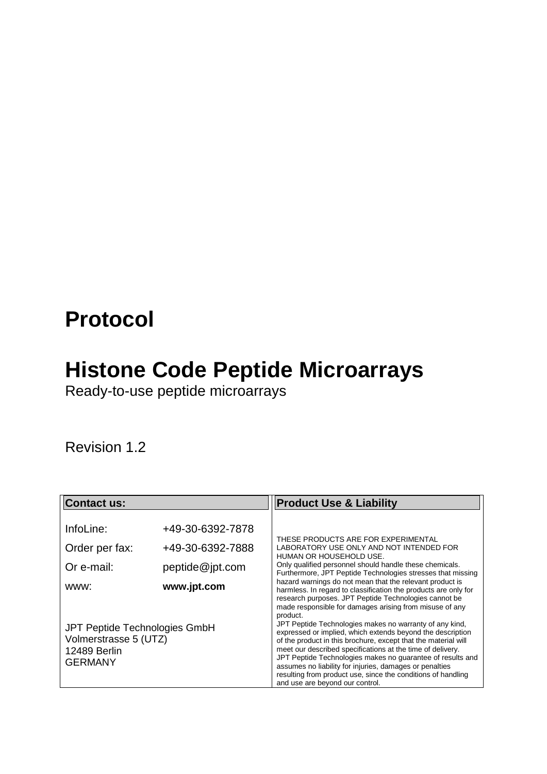## **Protocol**

## **Histone Code Peptide Microarrays**

Ready-to-use peptide microarrays

<span id="page-0-0"></span>Revision 1.2

| <b>Contact us:</b>                                                                       |                                                         | <b>Product Use &amp; Liability</b>                                                                                                                                                                                                                                                                                                                                                                                                                                                |  |
|------------------------------------------------------------------------------------------|---------------------------------------------------------|-----------------------------------------------------------------------------------------------------------------------------------------------------------------------------------------------------------------------------------------------------------------------------------------------------------------------------------------------------------------------------------------------------------------------------------------------------------------------------------|--|
| InfoLine:<br>Order per fax:<br>Or e-mail:                                                | +49-30-6392-7878<br>+49-30-6392-7888<br>peptide@jpt.com | THESE PRODUCTS ARE FOR EXPERIMENTAL<br>LABORATORY USE ONLY AND NOT INTENDED FOR<br>HUMAN OR HOUSEHOLD USE.<br>Only qualified personnel should handle these chemicals.<br>Furthermore, JPT Peptide Technologies stresses that missing                                                                                                                                                                                                                                              |  |
| www:                                                                                     | www.jpt.com                                             | hazard warnings do not mean that the relevant product is<br>harmless. In regard to classification the products are only for<br>research purposes. JPT Peptide Technologies cannot be<br>made responsible for damages arising from misuse of any<br>product.                                                                                                                                                                                                                       |  |
| JPT Peptide Technologies GmbH<br>Volmerstrasse 5 (UTZ)<br>12489 Berlin<br><b>GERMANY</b> |                                                         | JPT Peptide Technologies makes no warranty of any kind,<br>expressed or implied, which extends beyond the description<br>of the product in this brochure, except that the material will<br>meet our described specifications at the time of delivery.<br>JPT Peptide Technologies makes no guarantee of results and<br>assumes no liability for injuries, damages or penalties<br>resulting from product use, since the conditions of handling<br>and use are beyond our control. |  |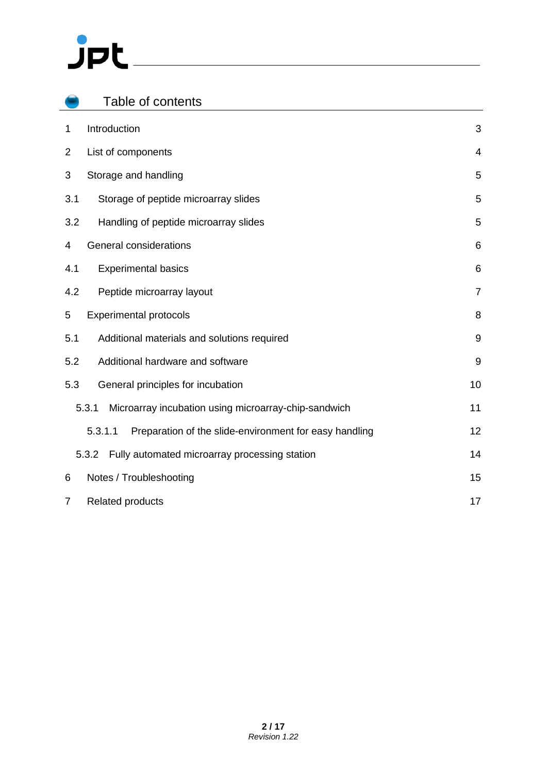# $J$ pt

| Table of contents                                                 |                |
|-------------------------------------------------------------------|----------------|
| Introduction<br>$\mathbf{1}$                                      | 3              |
| $\overline{2}$<br>List of components                              | $\overline{4}$ |
| 3<br>Storage and handling                                         | 5              |
| 3.1<br>Storage of peptide microarray slides                       | 5              |
| 3.2<br>Handling of peptide microarray slides                      | 5              |
| <b>General considerations</b><br>4                                | 6              |
| <b>Experimental basics</b><br>4.1                                 | 6              |
| 4.2<br>Peptide microarray layout                                  | $\overline{7}$ |
| 5<br><b>Experimental protocols</b>                                | 8              |
| Additional materials and solutions required<br>5.1                | 9              |
| 5.2<br>Additional hardware and software                           | $9\,$          |
| 5.3<br>General principles for incubation                          | 10             |
| 5.3.1<br>Microarray incubation using microarray-chip-sandwich     | 11             |
| Preparation of the slide-environment for easy handling<br>5.3.1.1 | 12             |
| Fully automated microarray processing station<br>5.3.2            | 14             |
| Notes / Troubleshooting<br>6                                      | 15             |
| <b>Related products</b><br>7                                      | 17             |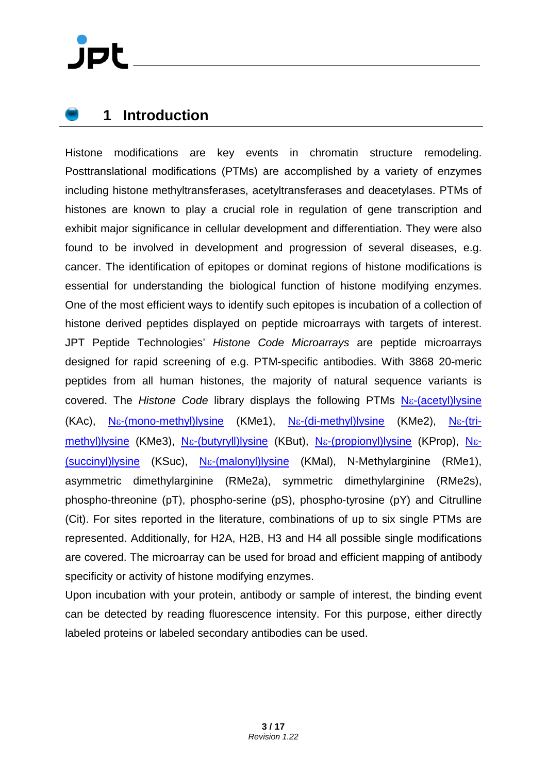#### <span id="page-2-0"></span>**1 Introduction**

Histone modifications are key events in chromatin structure remodeling. Posttranslational modifications (PTMs) are accomplished by a variety of enzymes including histone methyltransferases, acetyltransferases and deacetylases. PTMs of histones are known to play a crucial role in regulation of gene transcription and exhibit major significance in cellular development and differentiation. They were also found to be involved in development and progression of several diseases, e.g. cancer. The identification of epitopes or dominat regions of histone modifications is essential for understanding the biological function of histone modifying enzymes. One of the most efficient ways to identify such epitopes is incubation of a collection of histone derived peptides displayed on peptide microarrays with targets of interest. JPT Peptide Technologies' *Histone Code Microarrays* are peptide microarrays designed for rapid screening of e.g. PTM-specific antibodies. With 3868 20-meric peptides from all human histones, the majority of natural sequence variants is covered. The *Histone Code* library displays the following PTMs Nε[-\(acetyl\)lysine](http://www.google.de/url?sa=t&rct=j&q=succinyl-lysine&source=web&cd=2&ved=0CC0QFjAB&url=http%3A%2F%2Fwww.jlr.org%2Fcontent%2F47%2F7%2F1386.abstract&ei=gi2iT4WlH9DHtAa-0PHaBw&usg=AFQjCNEwfdJh5D8hjwRYl_zfQbErRA8VdA) (KAc), Nε[-\(mono-methyl\)lysine](http://www.google.de/url?sa=t&rct=j&q=succinyl-lysine&source=web&cd=2&ved=0CC0QFjAB&url=http%3A%2F%2Fwww.jlr.org%2Fcontent%2F47%2F7%2F1386.abstract&ei=gi2iT4WlH9DHtAa-0PHaBw&usg=AFQjCNEwfdJh5D8hjwRYl_zfQbErRA8VdA) (KMe1), Nε[-\(di-methyl\)lysine](http://www.google.de/url?sa=t&rct=j&q=succinyl-lysine&source=web&cd=2&ved=0CC0QFjAB&url=http%3A%2F%2Fwww.jlr.org%2Fcontent%2F47%2F7%2F1386.abstract&ei=gi2iT4WlH9DHtAa-0PHaBw&usg=AFQjCNEwfdJh5D8hjwRYl_zfQbErRA8VdA) (KMe2), Nε[-\(tri](http://www.google.de/url?sa=t&rct=j&q=succinyl-lysine&source=web&cd=2&ved=0CC0QFjAB&url=http%3A%2F%2Fwww.jlr.org%2Fcontent%2F47%2F7%2F1386.abstract&ei=gi2iT4WlH9DHtAa-0PHaBw&usg=AFQjCNEwfdJh5D8hjwRYl_zfQbErRA8VdA)[methyl\)lysine](http://www.google.de/url?sa=t&rct=j&q=succinyl-lysine&source=web&cd=2&ved=0CC0QFjAB&url=http%3A%2F%2Fwww.jlr.org%2Fcontent%2F47%2F7%2F1386.abstract&ei=gi2iT4WlH9DHtAa-0PHaBw&usg=AFQjCNEwfdJh5D8hjwRYl_zfQbErRA8VdA) (KMe3), Nε[-\(butyryll\)lysine](http://www.google.de/url?sa=t&rct=j&q=succinyl-lysine&source=web&cd=2&ved=0CC0QFjAB&url=http%3A%2F%2Fwww.jlr.org%2Fcontent%2F47%2F7%2F1386.abstract&ei=gi2iT4WlH9DHtAa-0PHaBw&usg=AFQjCNEwfdJh5D8hjwRYl_zfQbErRA8VdA) (KBut), Nε[-\(propionyl\)lysine](http://www.google.de/url?sa=t&rct=j&q=succinyl-lysine&source=web&cd=2&ved=0CC0QFjAB&url=http%3A%2F%2Fwww.jlr.org%2Fcontent%2F47%2F7%2F1386.abstract&ei=gi2iT4WlH9DHtAa-0PHaBw&usg=AFQjCNEwfdJh5D8hjwRYl_zfQbErRA8VdA) (KProp), [N](http://www.google.de/url?sa=t&rct=j&q=succinyl-lysine&source=web&cd=2&ved=0CC0QFjAB&url=http%3A%2F%2Fwww.jlr.org%2Fcontent%2F47%2F7%2F1386.abstract&ei=gi2iT4WlH9DHtAa-0PHaBw&usg=AFQjCNEwfdJh5D8hjwRYl_zfQbErRA8VdA)ε- [\(succinyl\)lysine](http://www.google.de/url?sa=t&rct=j&q=succinyl-lysine&source=web&cd=2&ved=0CC0QFjAB&url=http%3A%2F%2Fwww.jlr.org%2Fcontent%2F47%2F7%2F1386.abstract&ei=gi2iT4WlH9DHtAa-0PHaBw&usg=AFQjCNEwfdJh5D8hjwRYl_zfQbErRA8VdA) (KSuc), Nε[-\(malonyl\)lysine](http://www.google.de/url?sa=t&rct=j&q=succinyl-lysine&source=web&cd=2&ved=0CC0QFjAB&url=http%3A%2F%2Fwww.jlr.org%2Fcontent%2F47%2F7%2F1386.abstract&ei=gi2iT4WlH9DHtAa-0PHaBw&usg=AFQjCNEwfdJh5D8hjwRYl_zfQbErRA8VdA) (KMal), N-Methylarginine (RMe1), asymmetric dimethylarginine (RMe2a), symmetric dimethylarginine (RMe2s), phospho-threonine (pT), phospho-serine (pS), phospho-tyrosine (pY) and Citrulline (Cit). For sites reported in the literature, combinations of up to six single PTMs are represented. Additionally, for H2A, H2B, H3 and H4 all possible single modifications are covered. The microarray can be used for broad and efficient mapping of antibody specificity or activity of histone modifying enzymes.

Upon incubation with your protein, antibody or sample of interest, the binding event can be detected by reading fluorescence intensity. For this purpose, either directly labeled proteins or labeled secondary antibodies can be used.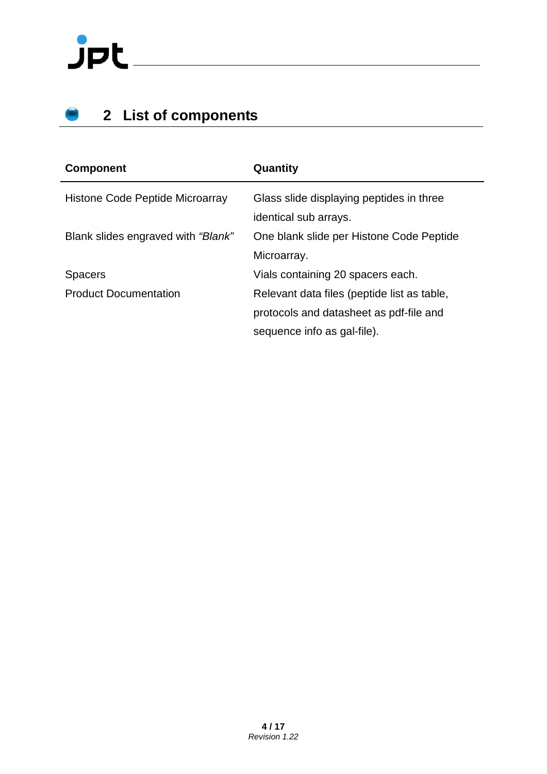# $J$ pt $-$

### <span id="page-3-0"></span>**2 List of components**

| <b>Component</b>                   | Quantity                                                                               |
|------------------------------------|----------------------------------------------------------------------------------------|
| Histone Code Peptide Microarray    | Glass slide displaying peptides in three<br>identical sub arrays.                      |
| Blank slides engraved with "Blank" | One blank slide per Histone Code Peptide<br>Microarray.                                |
| <b>Spacers</b>                     | Vials containing 20 spacers each.                                                      |
| <b>Product Documentation</b>       | Relevant data files (peptide list as table,<br>protocols and datasheet as pdf-file and |
|                                    | sequence info as gal-file).                                                            |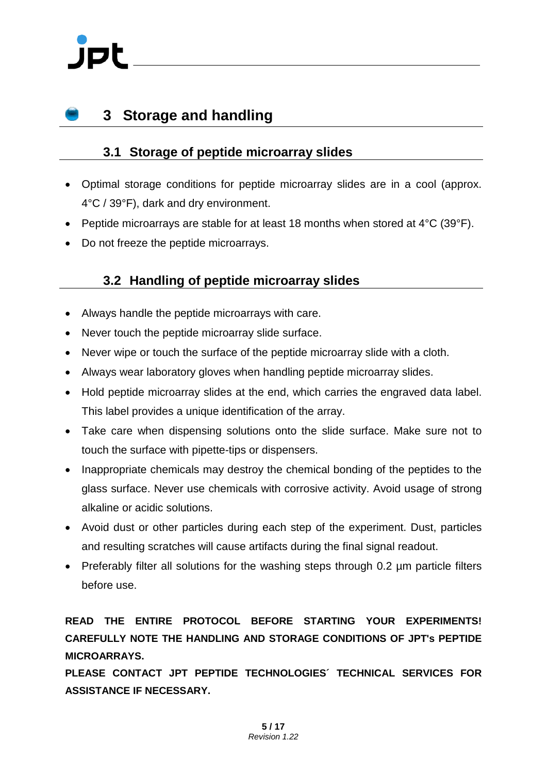### <span id="page-4-0"></span>**3 Storage and handling**

#### <span id="page-4-1"></span>**3.1 Storage of peptide microarray slides**

- Optimal storage conditions for peptide microarray slides are in a cool (approx. 4°C / 39°F), dark and dry environment.
- Peptide microarrays are stable for at least 18 months when stored at 4°C (39°F).
- Do not freeze the peptide microarrays.

#### <span id="page-4-2"></span>**3.2 Handling of peptide microarray slides**

- Always handle the peptide microarrays with care.
- Never touch the peptide microarray slide surface.
- Never wipe or touch the surface of the peptide microarray slide with a cloth.
- Always wear laboratory gloves when handling peptide microarray slides.
- Hold peptide microarray slides at the end, which carries the engraved data label. This label provides a unique identification of the array.
- Take care when dispensing solutions onto the slide surface. Make sure not to touch the surface with pipette-tips or dispensers.
- Inappropriate chemicals may destroy the chemical bonding of the peptides to the glass surface. Never use chemicals with corrosive activity. Avoid usage of strong alkaline or acidic solutions.
- Avoid dust or other particles during each step of the experiment. Dust, particles and resulting scratches will cause artifacts during the final signal readout.
- Preferably filter all solutions for the washing steps through 0.2 µm particle filters before use.

#### **READ THE ENTIRE PROTOCOL BEFORE STARTING YOUR EXPERIMENTS! CAREFULLY NOTE THE HANDLING AND STORAGE CONDITIONS OF JPT's PEPTIDE MICROARRAYS.**

**PLEASE CONTACT JPT PEPTIDE TECHNOLOGIES´ TECHNICAL SERVICES FOR ASSISTANCE IF NECESSARY.**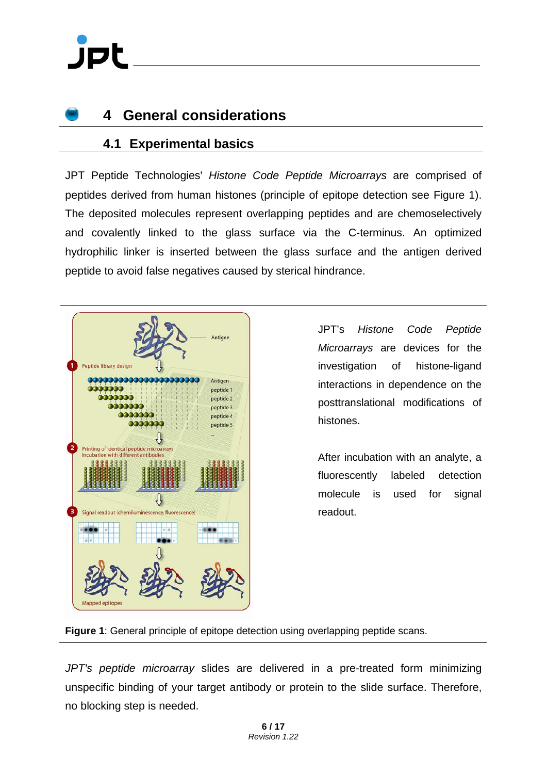#### <span id="page-5-0"></span>**4 General considerations**

#### <span id="page-5-1"></span>**4.1 Experimental basics**

JPT Peptide Technologies' *Histone Code Peptide Microarrays* are comprised of peptides derived from human histones (principle of epitope detection see [Figure 1\)](#page-5-2). The deposited molecules represent overlapping peptides and are chemoselectively and covalently linked to the glass surface via the C-terminus. An optimized hydrophilic linker is inserted between the glass surface and the antigen derived peptide to avoid false negatives caused by sterical hindrance.



JPT's *Histone Code Peptide Microarrays* are devices for the investigation of histone-ligand interactions in dependence on the posttranslational modifications of histones.

After incubation with an analyte, a fluorescently labeled detection molecule is used for signal readout.

<span id="page-5-2"></span>**Figure 1**: General principle of epitope detection using overlapping peptide scans.

*JPT's peptide microarray* slides are delivered in a pre-treated form minimizing unspecific binding of your target antibody or protein to the slide surface. Therefore, no blocking step is needed.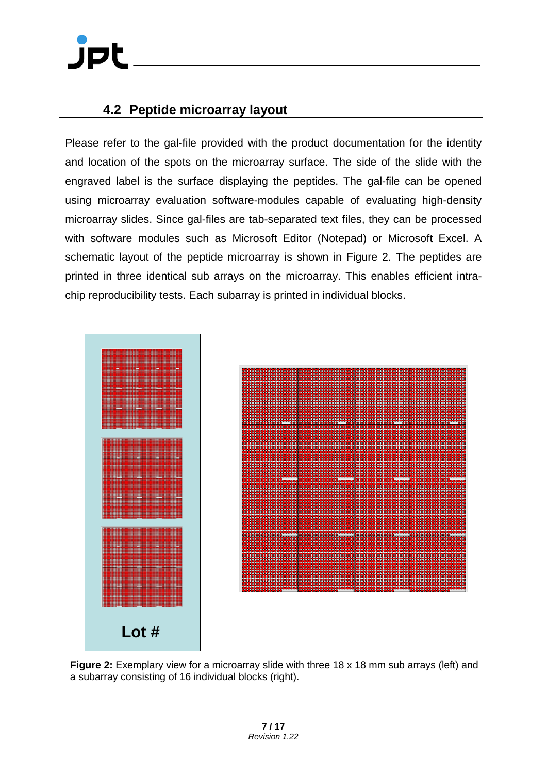## JPI

#### <span id="page-6-0"></span>**4.2 Peptide microarray layout**

Please refer to the gal-file provided with the product documentation for the identity and location of the spots on the microarray surface. The side of the slide with the engraved label is the surface displaying the peptides. The gal-file can be opened using microarray evaluation software-modules capable of evaluating high-density microarray slides. Since gal-files are tab-separated text files, they can be processed with software modules such as Microsoft Editor (Notepad) or Microsoft Excel. A schematic layout of the peptide microarray is shown in [Figure 2.](#page-6-1) The peptides are printed in three identical sub arrays on the microarray. This enables efficient intrachip reproducibility tests. Each subarray is printed in individual blocks.



<span id="page-6-1"></span>**Figure 2:** Exemplary view for a microarray slide with three 18 x 18 mm sub arrays (left) and a subarray consisting of 16 individual blocks (right).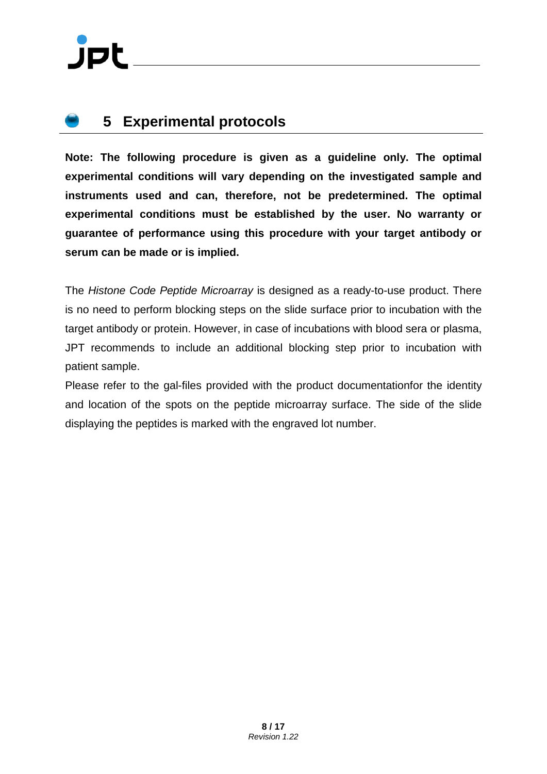### <span id="page-7-0"></span>**5 Experimental protocols**

**Note: The following procedure is given as a guideline only. The optimal experimental conditions will vary depending on the investigated sample and instruments used and can, therefore, not be predetermined. The optimal experimental conditions must be established by the user. No warranty or guarantee of performance using this procedure with your target antibody or serum can be made or is implied.**

The *Histone Code Peptide Microarray* is designed as a ready-to-use product. There is no need to perform blocking steps on the slide surface prior to incubation with the target antibody or protein. However, in case of incubations with blood sera or plasma, JPT recommends to include an additional blocking step prior to incubation with patient sample.

Please refer to the gal-files provided with the product documentationfor the identity and location of the spots on the peptide microarray surface. The side of the slide displaying the peptides is marked with the engraved lot number.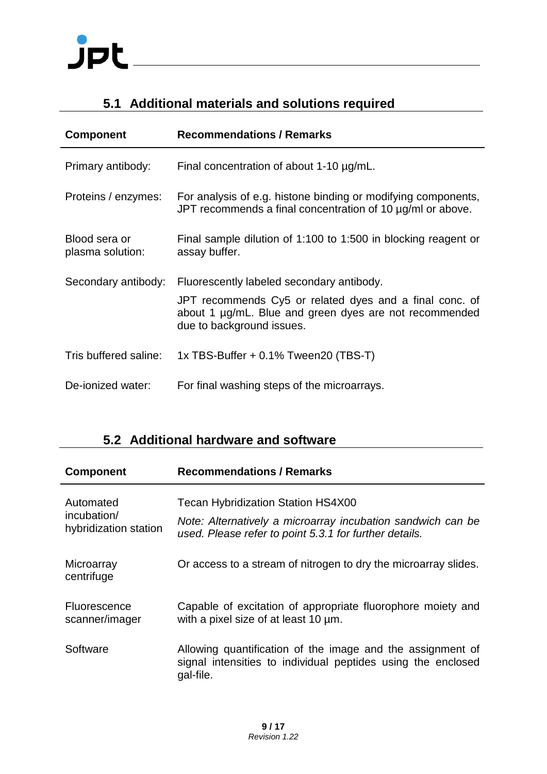## $J$ pt

#### <span id="page-8-0"></span>**5.1 Additional materials and solutions required**

| <b>Component</b>                  | <b>Recommendations / Remarks</b>                                                                                                               |
|-----------------------------------|------------------------------------------------------------------------------------------------------------------------------------------------|
| Primary antibody:                 | Final concentration of about $1-10 \mu g/mL$ .                                                                                                 |
| Proteins / enzymes:               | For analysis of e.g. histone binding or modifying components,<br>JPT recommends a final concentration of 10 $\mu$ g/ml or above.               |
| Blood sera or<br>plasma solution: | Final sample dilution of 1:100 to 1:500 in blocking reagent or<br>assay buffer.                                                                |
| Secondary antibody:               | Fluorescently labeled secondary antibody.                                                                                                      |
|                                   | JPT recommends Cy5 or related dyes and a final conc. of<br>about 1 µg/mL. Blue and green dyes are not recommended<br>due to background issues. |
| Tris buffered saline:             | 1x TBS-Buffer $+0.1\%$ Tween20 (TBS-T)                                                                                                         |
| De-ionized water:                 | For final washing steps of the microarrays.                                                                                                    |

#### <span id="page-8-1"></span>**5.2 Additional hardware and software**

| <b>Component</b>                                  | <b>Recommendations / Remarks</b>                                                                                                                                   |
|---------------------------------------------------|--------------------------------------------------------------------------------------------------------------------------------------------------------------------|
| Automated<br>incubation/<br>hybridization station | <b>Tecan Hybridization Station HS4X00</b><br>Note: Alternatively a microarray incubation sandwich can be<br>used. Please refer to point 5.3.1 for further details. |
| Microarray<br>centrifuge                          | Or access to a stream of nitrogen to dry the microarray slides.                                                                                                    |
| <b>Fluorescence</b><br>scanner/imager             | Capable of excitation of appropriate fluorophore moiety and<br>with a pixel size of at least 10 um.                                                                |
| Software                                          | Allowing quantification of the image and the assignment of<br>signal intensities to individual peptides using the enclosed<br>gal-file.                            |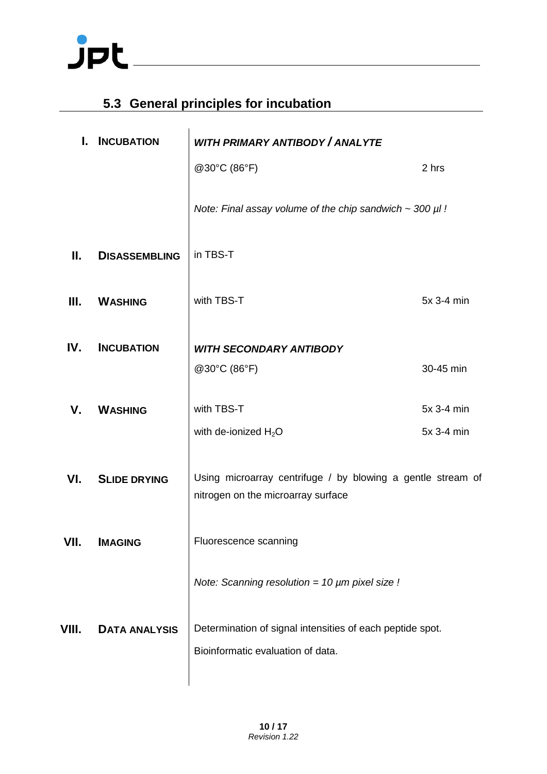## $JPL$

#### <span id="page-9-0"></span>**5.3 General principles for incubation**

| L.    | <b>INCUBATION</b>    | <b>WITH PRIMARY ANTIBODY / ANALYTE</b>                                                            |            |
|-------|----------------------|---------------------------------------------------------------------------------------------------|------------|
|       |                      | @30°C (86°F)                                                                                      | 2 hrs      |
|       |                      | Note: Final assay volume of the chip sandwich $\sim$ 300 $\mu$ l!                                 |            |
| Ш.    | <b>DISASSEMBLING</b> | in TBS-T                                                                                          |            |
| Ш.    | <b>WASHING</b>       | with TBS-T                                                                                        | 5x 3-4 min |
| IV.   | <b>INCUBATION</b>    | <b>WITH SECONDARY ANTIBODY</b>                                                                    |            |
|       |                      | @30°C (86°F)                                                                                      | 30-45 min  |
| V.    | <b>WASHING</b>       | with TBS-T                                                                                        | 5x 3-4 min |
|       |                      | with de-ionized $H_2O$                                                                            | 5x 3-4 min |
| VI.   | <b>SLIDE DRYING</b>  | Using microarray centrifuge / by blowing a gentle stream of<br>nitrogen on the microarray surface |            |
| VII.  | <b>IMAGING</b>       | Fluorescence scanning                                                                             |            |
|       |                      | Note: Scanning resolution = 10 µm pixel size !                                                    |            |
| VIII. | <b>DATA ANALYSIS</b> | Determination of signal intensities of each peptide spot.<br>Bioinformatic evaluation of data.    |            |
|       |                      |                                                                                                   |            |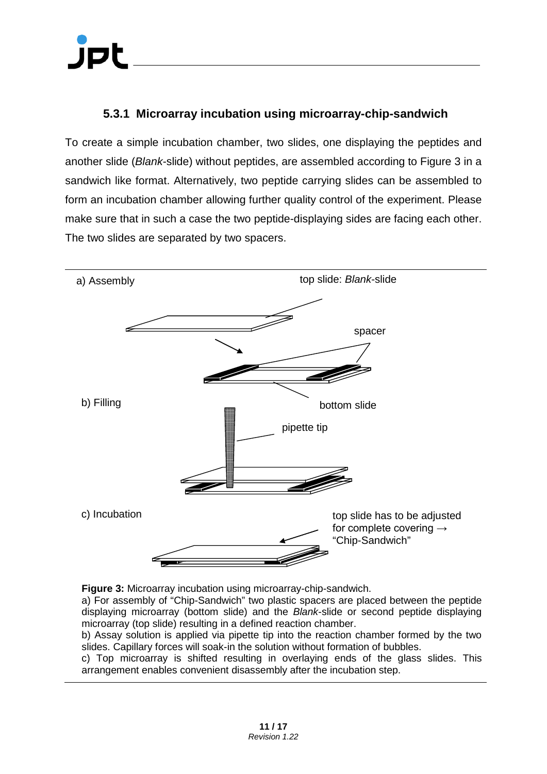#### <span id="page-10-0"></span>**5.3.1 Microarray incubation using microarray-chip-sandwich**

To create a simple incubation chamber, two slides, one displaying the peptides and another slide (*Blank*-slide) without peptides, are assembled according to [Figure 3](#page-10-1) in a sandwich like format. Alternatively, two peptide carrying slides can be assembled to form an incubation chamber allowing further quality control of the experiment. Please make sure that in such a case the two peptide-displaying sides are facing each other. The two slides are separated by two spacers.



<span id="page-10-1"></span>**Figure 3:** Microarray incubation using microarray-chip-sandwich.

a) For assembly of "Chip-Sandwich" two plastic spacers are placed between the peptide displaying microarray (bottom slide) and the *Blank*-slide or second peptide displaying microarray (top slide) resulting in a defined reaction chamber.

b) Assay solution is applied via pipette tip into the reaction chamber formed by the two slides. Capillary forces will soak-in the solution without formation of bubbles.

c) Top microarray is shifted resulting in overlaying ends of the glass slides. This arrangement enables convenient disassembly after the incubation step.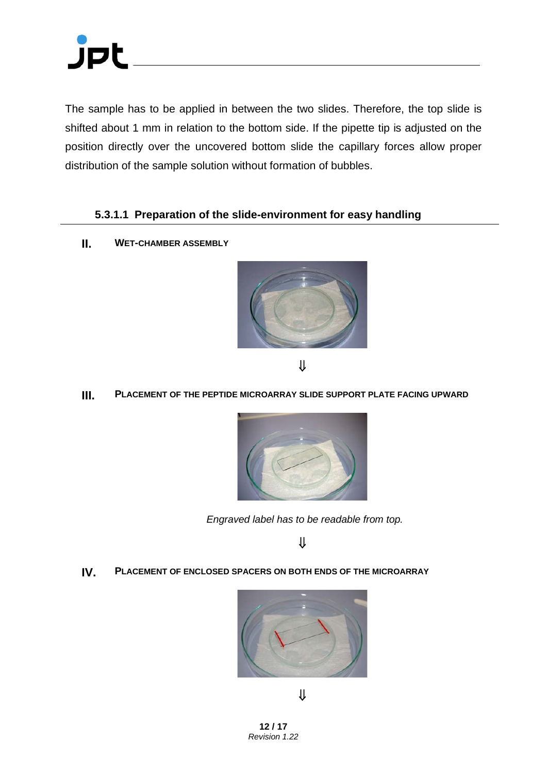

The sample has to be applied in between the two slides. Therefore, the top slide is shifted about 1 mm in relation to the bottom side. If the pipette tip is adjusted on the position directly over the uncovered bottom slide the capillary forces allow proper distribution of the sample solution without formation of bubbles.

#### <span id="page-11-0"></span>**5.3.1.1 Preparation of the slide-environment for easy handling**

**II. WET-CHAMBER ASSEMBLY**



⇓

#### **III. PLACEMENT OF THE PEPTIDE MICROARRAY SLIDE SUPPORT PLATE FACING UPWARD**



*Engraved label has to be readable from top.*

⇓

**IV. PLACEMENT OF ENCLOSED SPACERS ON BOTH ENDS OF THE MICROARRAY**



⇓

**12 / 17** *[Revision 1.22](#page-0-0)*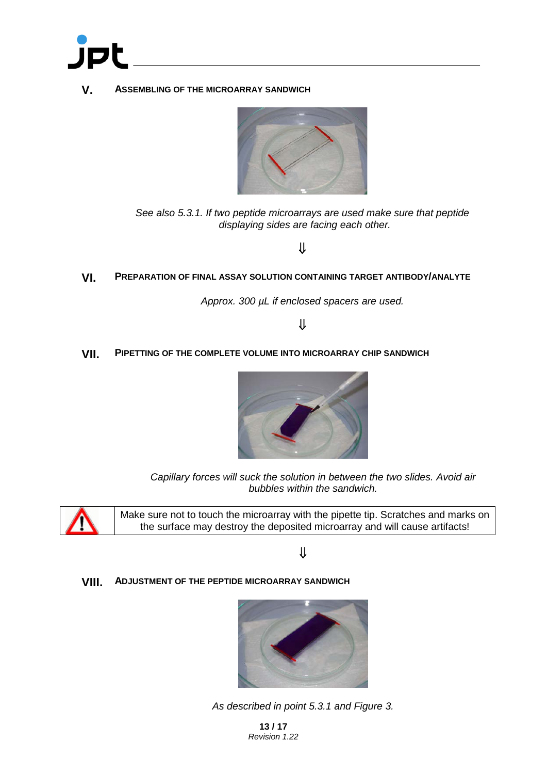

**V. ASSEMBLING OF THE MICROARRAY SANDWICH**



*See also [5.3.1.](#page-10-0) If two peptide microarrays are used make sure that peptide displaying sides are facing each other.*

#### ⇓

**VI. PREPARATION OF FINAL ASSAY SOLUTION CONTAINING TARGET ANTIBODY/ANALYTE**

*Approx. 300 µL if enclosed spacers are used.*

#### ⇓

**VII. PIPETTING OF THE COMPLETE VOLUME INTO MICROARRAY CHIP SANDWICH**



*Capillary forces will suck the solution in between the two slides. Avoid air bubbles within the sandwich.*



Make sure not to touch the microarray with the pipette tip. Scratches and marks on the surface may destroy the deposited microarray and will cause artifacts!

⇓

#### **VIII. ADJUSTMENT OF THE PEPTIDE MICROARRAY SANDWICH**



*As described in point [5.3.1](#page-10-0) and [Figure 3.](#page-10-1)*

**13 / 17** *[Revision 1.22](#page-0-0)*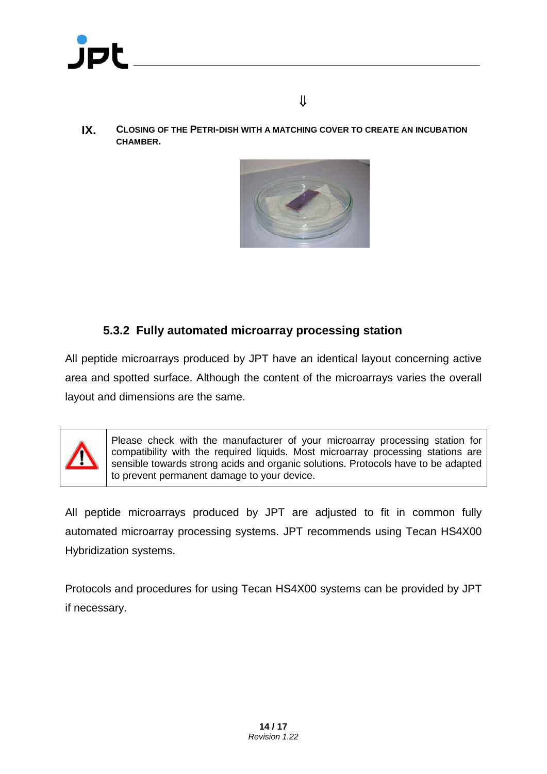

**IX. CLOSING OF THE PETRI-DISH WITH A MATCHING COVER TO CREATE AN INCUBATION CHAMBER.**



#### <span id="page-13-0"></span>**5.3.2 Fully automated microarray processing station**

All peptide microarrays produced by JPT have an identical layout concerning active area and spotted surface. Although the content of the microarrays varies the overall layout and dimensions are the same.



Please check with the manufacturer of your microarray processing station for compatibility with the required liquids. Most microarray processing stations are sensible towards strong acids and organic solutions. Protocols have to be adapted to prevent permanent damage to your device.

All peptide microarrays produced by JPT are adjusted to fit in common fully automated microarray processing systems. JPT recommends using Tecan HS4X00 Hybridization systems.

Protocols and procedures for using Tecan HS4X00 systems can be provided by JPT if necessary.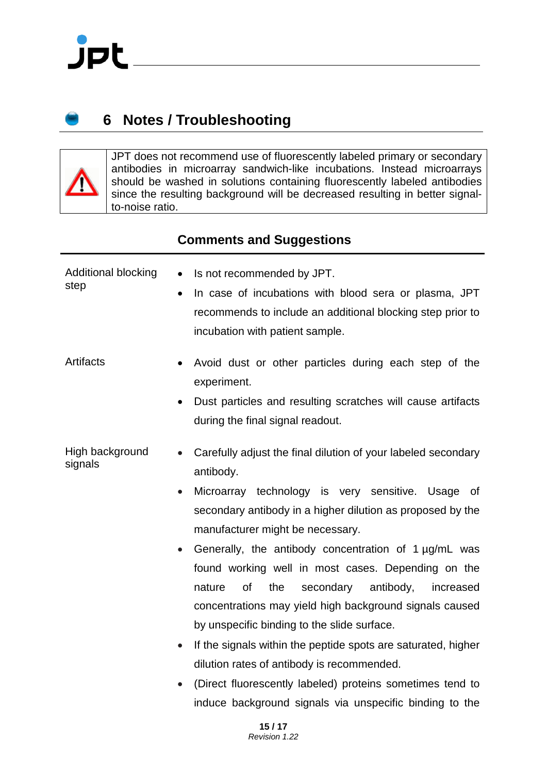

### <span id="page-14-0"></span>**6 Notes / Troubleshooting**

JPT does not recommend use of fluorescently labeled primary or secondary antibodies in microarray sandwich-like incubations. Instead microarrays should be washed in solutions containing fluorescently labeled antibodies since the resulting background will be decreased resulting in better signalto-noise ratio.

#### **Comments and Suggestions**

| Additional blocking<br>step | Is not recommended by JPT.<br>$\bullet$<br>In case of incubations with blood sera or plasma, JPT<br>$\bullet$<br>recommends to include an additional blocking step prior to<br>incubation with patient sample.                                                                                                                                                                                                                                                                                                                                                                                                                                                                                                                                    |
|-----------------------------|---------------------------------------------------------------------------------------------------------------------------------------------------------------------------------------------------------------------------------------------------------------------------------------------------------------------------------------------------------------------------------------------------------------------------------------------------------------------------------------------------------------------------------------------------------------------------------------------------------------------------------------------------------------------------------------------------------------------------------------------------|
| Artifacts                   | Avoid dust or other particles during each step of the<br>$\bullet$<br>experiment.<br>Dust particles and resulting scratches will cause artifacts<br>during the final signal readout.                                                                                                                                                                                                                                                                                                                                                                                                                                                                                                                                                              |
| High background<br>signals  | Carefully adjust the final dilution of your labeled secondary<br>antibody.<br>Microarray technology is very sensitive. Usage of<br>$\bullet$<br>secondary antibody in a higher dilution as proposed by the<br>manufacturer might be necessary.<br>Generally, the antibody concentration of 1 µg/mL was<br>$\bullet$<br>found working well in most cases. Depending on the<br>the<br>antibody,<br><b>of</b><br>secondary<br>increased<br>nature<br>concentrations may yield high background signals caused<br>by unspecific binding to the slide surface.<br>If the signals within the peptide spots are saturated, higher<br>$\bullet$<br>dilution rates of antibody is recommended.<br>(Direct fluorescently labeled) proteins sometimes tend to |

• (Direct fluorescently labeled) proteins sometimes tend to induce background signals via unspecific binding to the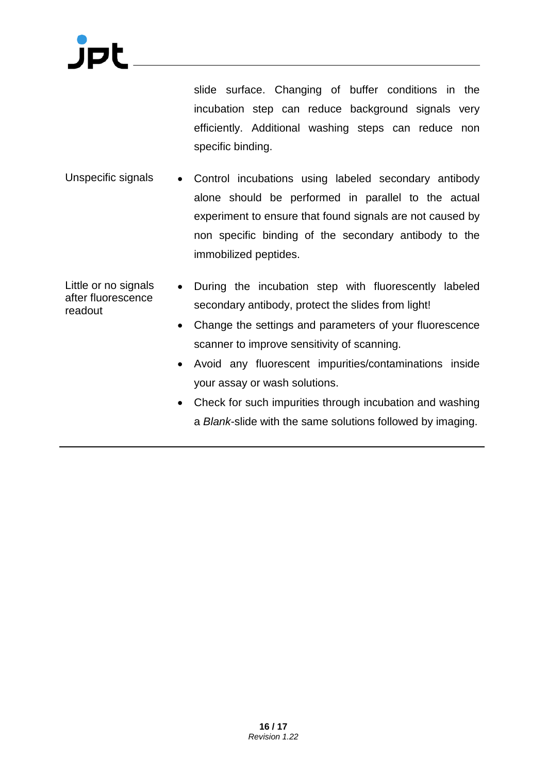slide surface. Changing of buffer conditions in the incubation step can reduce background signals very efficiently. Additional washing steps can reduce non specific binding.

- Unspecific signals Control incubations using labeled secondary antibody alone should be performed in parallel to the actual experiment to ensure that found signals are not caused by non specific binding of the secondary antibody to the immobilized peptides.
- Little or no signals after fluorescence readout • During the incubation step with fluorescently labeled secondary antibody, protect the slides from light!
	- Change the settings and parameters of your fluorescence scanner to improve sensitivity of scanning.
	- Avoid any fluorescent impurities/contaminations inside your assay or wash solutions.
	- Check for such impurities through incubation and washing a *Blank*-slide with the same solutions followed by imaging.